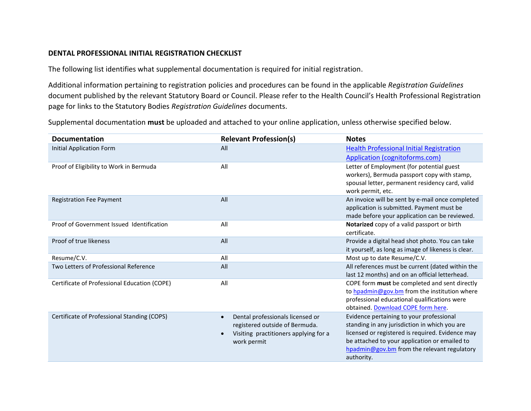## **DENTAL PROFESSIONAL INITIAL REGISTRATION CHECKLIST**

The following list identifies what supplemental documentation is required for initial registration.

Additional information pertaining to registration policies and procedures can be found in the applicable *Registration Guidelines* document published by the relevant Statutory Board or Council. Please refer to the Health Council's Health Professional Registration page for links to the Statutory Bodies *Registration Guidelines* documents.

Supplemental documentation **must** be uploaded and attached to your online application, unless otherwise specified below.

| <b>Documentation</b>                         | <b>Relevant Profession(s)</b>                                                                                              | <b>Notes</b>                                                                                                                                                                                                                                                |
|----------------------------------------------|----------------------------------------------------------------------------------------------------------------------------|-------------------------------------------------------------------------------------------------------------------------------------------------------------------------------------------------------------------------------------------------------------|
| <b>Initial Application Form</b>              | All                                                                                                                        | <b>Health Professional Initial Registration</b>                                                                                                                                                                                                             |
|                                              |                                                                                                                            | <b>Application (cognitoforms.com)</b>                                                                                                                                                                                                                       |
| Proof of Eligibility to Work in Bermuda      | All                                                                                                                        | Letter of Employment (for potential guest<br>workers), Bermuda passport copy with stamp,<br>spousal letter, permanent residency card, valid<br>work permit, etc.                                                                                            |
| <b>Registration Fee Payment</b>              | All                                                                                                                        | An invoice will be sent by e-mail once completed<br>application is submitted. Payment must be<br>made before your application can be reviewed.                                                                                                              |
| Proof of Government Issued Identification    | All                                                                                                                        | Notarized copy of a valid passport or birth<br>certificate.                                                                                                                                                                                                 |
| Proof of true likeness                       | All                                                                                                                        | Provide a digital head shot photo. You can take<br>it yourself, as long as image of likeness is clear.                                                                                                                                                      |
| Resume/C.V.                                  | All                                                                                                                        | Most up to date Resume/C.V.                                                                                                                                                                                                                                 |
| Two Letters of Professional Reference        | All                                                                                                                        | All references must be current (dated within the<br>last 12 months) and on an official letterhead.                                                                                                                                                          |
| Certificate of Professional Education (COPE) | All                                                                                                                        | COPE form must be completed and sent directly<br>to hpadmin@gov.bm from the institution where<br>professional educational qualifications were<br>obtained. Download COPE form here.                                                                         |
| Certificate of Professional Standing (COPS)  | Dental professionals licensed or<br>registered outside of Bermuda.<br>Visiting practitioners applying for a<br>work permit | Evidence pertaining to your professional<br>standing in any jurisdiction in which you are<br>licensed or registered is required. Evidence may<br>be attached to your application or emailed to<br>hpadmin@gov.bm from the relevant regulatory<br>authority. |